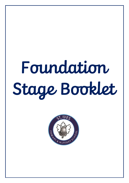# Foundation Stage Booklet

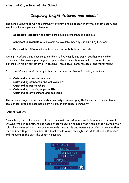# *"Inspiring bright futures and minds"*

The school aims to serve the community by providing an education of the highest quality and enabling all young people to become:

- **Successful learners** who enjoy learning, make progress and achieve
- **Confident individuals** who are able to live safe, healthy and fulfilling lives and
- **Responsible citizens** who make a positive contribution to society

We aim to educate and encourage children to live happily and work together in a caring environment by providing a range of opportunities for each individual to develop to the maximum of his or her potential in physical, intellectual, personal, social and moral terms.

At St Ives Primary and Nursery School, we believe our five outstanding areas are:

- **Outstanding care and nurture**
- **Outstanding standards and achievement**
- **Outstanding partnerships**
- **Outstanding sporting opportunities**
- **Outstanding environment and facilities**

The school recognises and celebrates diversity acknowledging that everyone irrespective of age, gender, creed or race has a part to play in our school community.

#### **School Values**

As a school, the children and staff have devised a set of values we believe are at the heart of St Ives. We aim to promote and teach these values in the hope that when a child finishes their schooling career with us they can leave with these skills and values embedded to prepare them for the next stage of their life. We teach these values through class discussions, assemblies and throughout the day. The school values are:

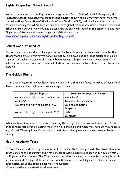## **Rights Respecting School Award**

We have been awarded the Rights Respecting School Award (RRSA) Level 1. Being a Rights Respecting school educates the children (and adults!) about their rights they have, from the United Nations Convention of the Rights of the Child (UNCRC), and how important it is to respect these rights. At St Ives we aim to create global citizens who understand the needs of other children around the world and discuss how we can work together to support one another. If you would like more information you can visit the website:

[www.unicef.org.uk/Education/Rights-Respecting-Schools](http://www.unicef.org.uk/Education/Rights-Respecting-Schools)

### **School Code of Conduct**

Our school code of conduct fully supports and implements our school aims which are further strengthened by our affirmative behaviour policy. This develops the ideas explored in circle time by continuing to support children in being responsible for their own behaviour and the school's rewards and sanctions system. Full details of policies can be obtained from the school website.

#### **The Golden Rights**

At St Ives Primary School we have three golden rights that help form the ethos of our school. These are our golden rights and how we respect them:

| Golden Rights                         | How we respect the Rights |
|---------------------------------------|---------------------------|
| We have the right to go to school and | Work hard                 |
| learn (A28)                           | To look after property    |
| We have the right to be safe (A19)    | Be kind and helpful       |
|                                       | Be gentle                 |
| We have the right to be heard (A12)   | Listen                    |
|                                       | Be honest                 |

When we have shown we have been respecting these rights we receive well done slips. Each child is responsible for collecting their own well done slips and when they have 10 they receive a gold card. Three gold cards results in a gold star badge given in achievers assemblies on a Friday.

## **Heath Academy Trust**

St Ives Primary and Nursery School is part of the Heath Academy Trust. The Heath Academy Trust consists of six primary and first schools providing inspiring education for pupils from 2 to 11 years in East Dorset. The Trust ensures excellent learning outcomes for our pupils within a framework of strong collaboration and robust school-to-school support. To find out more information about the trust please visit the website:

<https://heathacademytrust.wordpress.com/>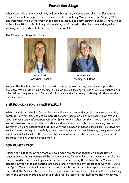# **Foundation Stage**

When your child starts school they will be in Reception, which is also called the Foundation Stage. They will be taught from a document called the Early Years Foundation Stage (EYFS). The important thing is that your child should be happy and enjoy coming to school. There will be no learning without this. Building relationships, getting used to the classroom and enjoying learning are the critical tasks of the first few weeks.

The Foundation Stage Staff are:



 Miss Light Mrs Kenny Reception Teacher Teaching Assistant



We plan the teaching and learning so that it is appropriate, active, hands-on and provides challenge. We do lots of our teaching in smaller groups, making full use of our experienced and talented teaching assistants. We gradually increase the "listening" / sitting still times as the class matures.

# **THE FOUNDATION STAGE PROFILE**

When the children start in September, we will spend a few weeks getting to know your child, watching how they play and get on with others and finding out all they already know. We will hopefully have some information passed on from any pre-school settings they attended as well. We will then use these initial observations and assessments to inform our planning. We have a system of on-going assessment that links with the Foundation Stage Curriculum. This does not involve formal testing but carefully planned hands-on activities involving play, group games and one-to-one discussions. In the Summer Term you will receive information about your child's progress in the Foundation Stage Profile.

## **COMMUNICATION**

During the first term, either there will be a meet the teacher session or a presentation handout where the curriculum will be explained more. There will also be a parent's consultation for you to attend and talk to your child's class teacher during the Autumn term. You will discuss how your child has settled into school and if there are any concerns or worries. During the Spring Term there will be another parent consultation and written reports are sent out at the end of the Summer Term. Each half term you will receive a curriculum newsletter informing you of the current theme and what your child will be learning that half term. Each Friday you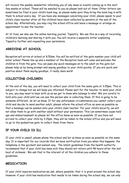will receive the weekly newsletter informing you of any news or events coming up in the next few weeks at school. These will be emailed to you so please look out of them. Other letters can sometimes be filed in your child's book bag, so please make sure they bring the book bag in with them to school every day. If you have any messages concerning your child, please speak to your child's class teacher after all the children have been collected by parents at the end of the school day. Alternatively, you may ring the school office and leave a message or arrange an appointment to see the teacher.

At St Ives, we also use the online learning journal, Tapestry. We use this as a way of recording children's learning and sharing it with you. You will receive a separate letter explaining Tapestry further and requesting your permission.

# **ARRIVING AT SCHOOL**

Reception will arrive at school at 8.50am. You will be notified of the gate number your child will enter school. Please line up and a member of the Reception team will come and welcome the children in from the gate. You can pass any quick messages on to the adult on the gate but please help us by being prompt and saying goodbye to your child quickly. If you are quick and positive about them saying goodbye, it really does work!

## **COLLECTING CHILDREN**

At the end of the day, you will need to collect your child from the same gate at 3.05pm. This is subject to change but we will keep you informed. Please wait for the teacher to send your child to you, you may need to bear with us as we get to know who belongs to who! We are careful to hold onto your child until we can see the person who is collecting them. If this is going to be someone different, do let us know. If for any unforeseen circumstances you cannot collect your child and decide to send another adult, please inform the school office as soon as possible so that a message can be passed onto your child's class teacher. For your child's security, we will not allow them to go with another adult without your permission. This can sometimes cause hold ups and embarrassment so please let the office know as soon as possible. If you have not arrived to collect your child by 3.15pm, they will be taken to the school office and you will need to go to the pedestrian gate to collect them from there.

## **IF YOUR CHILD IS ILL**

If your child is unwell, please phone the school and let us know as soon as possible on the same day. It is important for our records that we have notification from you when this happens: the telephone is the quickest and easiest way. The latest guidelines from the health authority recommend that if your child has been sick they should not return until 48 hours after the last bout of sickness. We ask that in the interest of all the children you adhere to these guidelines.

# **MEDICATION**

If your child requires medication we ask, where possible, that it is given around the school day. However if your child has medication that needs to be taken during the school day, we can only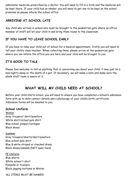administer medicine prescribed by a doctor. You will need to fill in a form and the medicine will be kept there. If your child has an inhaler, you will need to get one to be kept on the school premises so please inform the school office.

# **ARRIVING AT SCHOOL LATE**

Any child who arrives in school late must be brought to the pedestrian gate where an office member of staff will let your child in and bring them round to the classroom.

# **IF YOU HAVE TO LEAVE SCHOOL EARLY**

If you have to take your child out of school for a medical appointment, firstly you will need to tell your child's class teacher. When collecting them, please arrive at the pedestrian gate where you can inform the office you are here and your child will be brought to you.

## **IT'S GOOD TO TALK**

Please feel welcome to tell us anything that is concerning you about your child, it may just be a bad night's sleep or the death of a pet. If necessary, we will make a note and make sure the whole staff team is aware of it.

# **WHAT WILL MY CHILD NEED AT SCHOOL?**

Before your child starts school, you will need to ensure you have completed a school's admission form with up to date contact details and a photocopy of your child's birth certificate. Admission forms will be emailed to you.

#### **School Uniform**

Winter Grey trousers/ skirt/pinafore White shirt/school polo shirt Blue school jumper/cardigan Black shoes

Summer Grey trousers/shorts/skirt/pinafore Blue school polo shirt Blue & white striped or checked dress Black shoes/sandals (NOT open toed)

PE Uniform Blue shorts White school t-shirt Plimsolls or trainers Black jogging bottoms in Winter

*ALL ITEMS MUST BE NAMED!*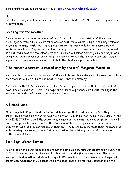School uniform can be purchased online at<https://www.schooltrends.co.uk/>.

## **PE**

Each half term, you will be informed of the days your child has PE. On PE days, they wear their PE kit to school.

## **Dressing for the weather**

Please be aware that a **large** amount of learning at school is done outside. Children are encouraged to take risks in a controlled environment, for example using the climbing frame or playing in the mud. With this in mind please ensure that your child brings a named pair of wellies in to school in September and has a waterproof coat on overcast and wet days, as well as a hat, and gloves for the colder weather. During the summer months your child may like to bring a hat. Again, please ensure all items are named. We ask that a once a day sun cream is applied before school as we are unable to help the children apply it at school.

## **"The richest classroom is roofed only by the sky" Margaret Macmillan.**

We know that the weather in our part of the world is not always desirable; however, we believe that there is no such thing as bad weather days… only bad clothing!

Did you know that in Scandinavia our children's counterparts still take their learning outside even in minus conditions. Help us to help your children experience continuous learning in the inside and outside environment that is our classroom.

# **A Named Coat**

It is a huge help if your child can be taught to manage their coat unaided before they start school. This means turning the sleeves the right way in, putting it on, doing it up/undoing it, and HANGING IT UP on a peg! The sooner they manage on their own, the more confident they will feel. This applies to their school clothes too: you will be helping your child if you choose uniform styles that they can manage on their own. Try to gradually increase their independence with dressing/undressing, turning inside out clothes the right way, and putting their own clothes away at home.

## **Book Bag/ Water Bottles**

You will be given a NAMED book bag and water bottle as a starting school gift from SISA, the St Ives School Association. These will be handed out on the first day at school. Please do not send your child in with an additional backpack. We have limited space on our school pegs and cannot accommodate for 30 backpacks on the pegs. Thank you for your cooperation on this.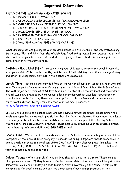# **Important Information**

#### **POLICY IN THE MORNINGS AND AFTER SCHOOL**

- NO DOGS ON THE PLAYGROUND
- NO UNACCOMPANIED CHILDREN ON PLAYGROUND/FIELD
- NO CHILDREN ON ANY OF THE PLAY EQUIPMENT
- NO SCOOTERS OR BIKES TO BE RIDDEN ON PLAYGROUND
- NO BALL GAMES BEFORE OR AFTER SCHOOL
- NO PARKING IN THE BUS BAY OR SCHOOL CAR PARK
- NO ENTRY BY THE CAR ACCESS
- NO WALKING ACROSS THE SCHOOL CAR PARK

When dropping off and picking up your children please use the unofficial one way system along Sandy Lane. This is driving from the Woolsbridge Road end of Sandy Lane towards the school which will be on your left hand side, and after dropping off your child continue along in the same direction to the service road.

**Clothing** – Please label EVERY item of clothing your child needs to wear to school. Please also label your child's PE bag, water bottle, book bag and PE kit. Helping the children change during and after PE is especially difficult if the clothes are unlabelled.

**Lunch Time** – Hot meals are provided free of charge for all pupils in Reception, Year One and Year Two as part of our government's commitment to Universal Free School Meals for infants. The vast majority of families at St Ives take up this offer of a free hot meal and the children love it! Meals are provided by Forerunner, a local provider with an excellent reputation for catering in schools. Each day there are three options to choose from and the menu is on a three-week rotation. To register and order your hot meal please visit: [https://forerunner.myschoolmealorders.com](https://forerunner.myschoolmealorders.com/)

If your child is bringing a packed lunch and not having a hot school dinner, please bring their lunch in a paper bag or washable plastic lunchbox. No fabric lunchboxes. Please label their lunch box in large letters to enable easy identification. We actively support the Healthy Schools Award and to promote a healthy lifestyle. Please help us by providing your child with a lunchbox that is healthy. We are a **NUT AND EGG FREE** school.

**Snack Time** – We are part of the national Fruit for Schools scheme which gives each child in Reception a free piece of fruit everyday. Please do not bring in separate snacks from home. A drinks bottle can come to school containing ONLY WATER for classroom use throughout the day (SQUASH, FRUIT JUICES & OTHER DRINKS ARE NOT PERMITTED). Please tell us if your child has any allergies to food.

**Colour Teams** – When your child joins St Ives they will be put into a team. These are red, blue, yellow and green. If they have an older brother or sister at school they will be put in the same team. Your child will stay in these teams as they move through the school. Team points are awarded for good learning and positive behaviour and each team's progress is then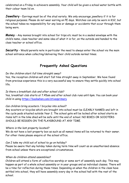celebrated on a Friday in achievers assembly. Your child will be given a school water bottle with their colour team lid on.

**Jewellery** – Earrings must be of the stud variety. We only encourage jewellery if it is for religious purposes. Please do not wear earring on PE days. Watches can only be worn in KS2, but the school takes no responsibility for any loss or damage or accidents that occur through them being worn.

**Money** – Any monies brought into school for trips etc must be in a sealed envelope with the child's name, class teacher and some idea of what it is for, on the outside and handed to the class teacher or school office.

**Security** – Would parents note in particular the need to always enter the school via the main school entrance when collecting/delivering their child outside normal times.

# **Frequently Asked Questions**

#### *Do the children start full time straight away?*

Yes, the reception children will start full time straight away in September. We have found from previous experience this is a very successful way to ensure they settle quickly into school life.

#### *Is there a breakfast club and after school club?*

Yes, breakfast club starts at 7.45am and after school club runs until 6pm. You can book your child in using<https://bookwhen.com/stivesprimary>

#### *Can children bring scooters / bicycles into school?*

Any scooters or bicycles which are brought into school must be CLEARLY NAMED and left in the cycle pods situated outside Year 2. The school gate will be locked after school starts so items left in the bike shed will be safe until the end of school. NO BIKES OR SCOOTERS SHOULD BE RIDDEN ON THE PLAYGROUND AT ANY TIME.

#### *Where is the lost property located?*

We do not have a lost property box as such as all named items will be returned to their owner. For other items please enquire at the school office.

#### *Can I take my child out of school to go on holiday?*

Please be aware that any holiday taken during term time will count as an unauthorised absence from school unless there are exceptional circumstances.

#### *When do children attend assemblies?*

Children will attend a form of collective worship or some sort of assembly each day. This may happen as part of a whole school assembly or in year groups and as individual classes. There will be a time for reflection during these times. Depending on when the children in the class have settled into school, they will have assembly every day in the school hall with the rest of the school.